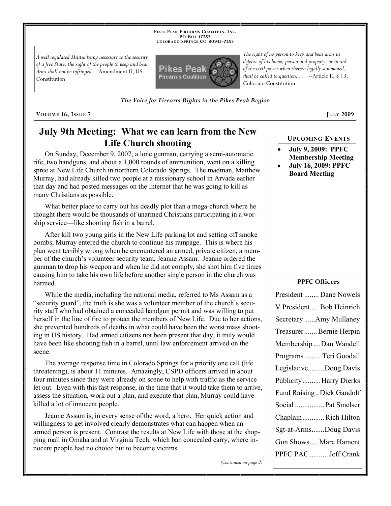**PIKES PEAK FIREARMS COALITION, INC. PO BOX 17253 COLORADO SPRINGS CO 80935 -7253**

*A well regulated Militia being necessary to the security of a free State, the right of the people to keep and bear Arms shall not be infringed.* --Amendment II, US Constitution



*defense of his home, person and property, or in aid of the civil power when thereto legally summoned, shall be called to question; . . .* --Article II, § 13, Colorado Constitution

*The right of no person to keep and bear arms in* 

*The Voice for Firearm Rights in the Pikes Peak Region*

**VOLUME 16, ISSUE 7 JULY 2009**

# **July 9th Meeting: What we can learn from the New Life Church shooting**

On Sunday, December 9, 2007, a lone gunman, carrying a semi-automatic rife, two handguns, and about a 1,000 rounds of ammunition, went on a killing spree at New Life Church in northern Colorado Springs. The madman, Matthew Murray, had already killed two people at a missionary school in Arvada earlier that day and had posted messages on the Internet that he was going to kill as many Christians as possible.

What better place to carry out his deadly plot than a mega-church where he thought there would be thousands of unarmed Christians participating in a worship service—like shooting fish in a barrel.

After kill two young girls in the New Life parking lot and setting off smoke bombs, Murray entered the church to continue his rampage. This is where his plan went terribly wrong when he encountered an armed, private citizen, a member of the church's volunteer security team, Jeanne Assam. Jeanne ordered the gunman to drop his weapon and when he did not comply, she shot him five times causing him to take his own life before another single person in the church was harmed.

While the media, including the national media, referred to Ms Assam as a "security guard", the truth is she was a volunteer member of the church's security staff who had obtained a concealed handgun permit and was willing to put herself in the line of fire to protect the members of New Life. Due to her actions, she prevented hundreds of deaths in what could have been the worst mass shooting in US history. Had armed citizens not been present that day, it truly would have been like shooting fish in a barrel, until law enforcement arrived on the scene.

The average response time in Colorado Springs for a priority one call (life threatening), is about 11 minutes. Amazingly, CSPD officers arrived in about four minutes since they were already on scene to help with traffic as the service let out. Even with this fast response, in the time that it would take them to arrive, assess the situation, work out a plan, and execute that plan, Murray could have killed a lot of innocent people.

Jeanne Assam is, in every sense of the word, a hero. Her quick action and willingness to get involved clearly demonstrates what can happen when an armed person is present. Contrast the results at New Life with those at the shopping mall in Omaha and at Virginia Tech, which ban concealed carry, where innocent people had no choice but to become victims.

*(Continued on page 2)*

### **UPCOMING EVENTS**

- **July 9, 2009: PPFC Membership Meeting**
- **July 16, 2009: PPFC Board Meeting**

#### **PPFC Officers**

| President  Dane Nowels    |
|---------------------------|
| V President Bob Heinrich  |
| Secretary Amy Mullaney    |
| Treasurer Bernie Herpin   |
| Membership Dan Wandell    |
| Programs  Teri Goodall    |
| LegislativeDoug Davis     |
| Publicity Harry Dierks    |
| Fund Raising Dick Gandolf |
| Social  Pat Smelser       |
| ChaplainRich Hilton       |
| Sgt-at-ArmsDoug Davis     |
| Gun ShowsMarc Hament      |
| PPFC PAC  Jeff Crank      |